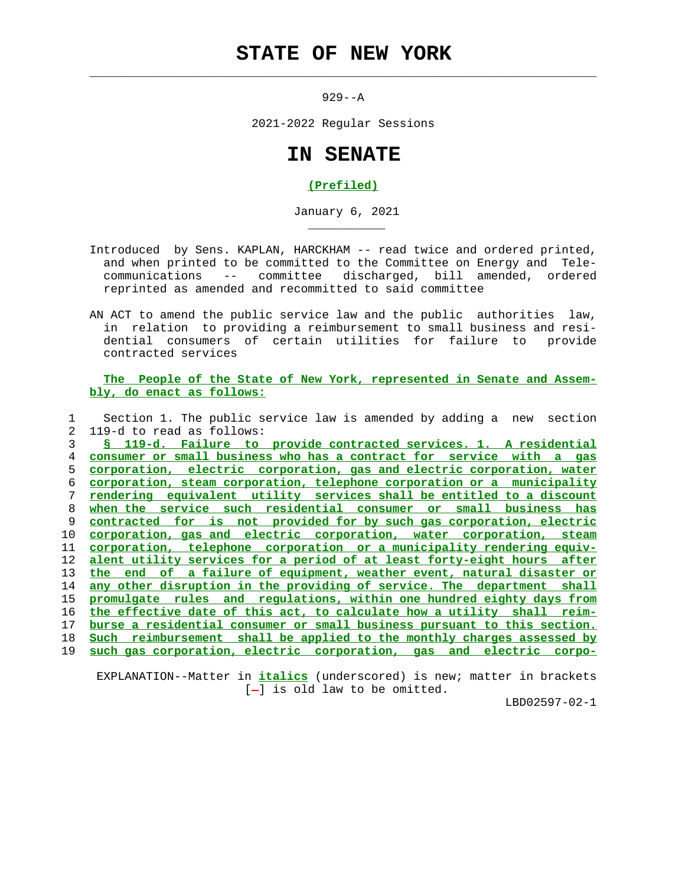## **STATE OF NEW YORK**

 $\mathcal{L}_\text{max} = \frac{1}{2} \sum_{i=1}^{n} \frac{1}{2} \sum_{i=1}^{n} \frac{1}{2} \sum_{i=1}^{n} \frac{1}{2} \sum_{i=1}^{n} \frac{1}{2} \sum_{i=1}^{n} \frac{1}{2} \sum_{i=1}^{n} \frac{1}{2} \sum_{i=1}^{n} \frac{1}{2} \sum_{i=1}^{n} \frac{1}{2} \sum_{i=1}^{n} \frac{1}{2} \sum_{i=1}^{n} \frac{1}{2} \sum_{i=1}^{n} \frac{1}{2} \sum_{i=1}^{n} \frac{1$ 

\_\_\_\_\_\_\_\_\_\_\_

929--A

2021-2022 Regular Sessions

## **IN SENATE**

## **(Prefiled)**

January 6, 2021

- Introduced by Sens. KAPLAN, HARCKHAM -- read twice and ordered printed, and when printed to be committed to the Committee on Energy and Tele communications -- committee discharged, bill amended, ordered reprinted as amended and recommitted to said committee
- AN ACT to amend the public service law and the public authorities law, in relation to providing a reimbursement to small business and resi dential consumers of certain utilities for failure to provide contracted services

## **The People of the State of New York, represented in Senate and Assem bly, do enact as follows:**

 1 Section 1. The public service law is amended by adding a new section 2 119-d to read as follows:

**§ 119-d. Failure to provide contracted services. 1. A residential consumer or small business who has a contract for service with a gas corporation, electric corporation, gas and electric corporation, water corporation, steam corporation, telephone corporation or a municipality rendering equivalent utility services shall be entitled to a discount when the service such residential consumer or small business has contracted for is not provided for by such gas corporation, electric corporation, gas and electric corporation, water corporation, steam corporation, telephone corporation or a municipality rendering equiv- alent utility services for a period of at least forty-eight hours after the end of a failure of equipment, weather event, natural disaster or any other disruption in the providing of service. The department shall promulgate rules and regulations, within one hundred eighty days from the effective date of this act, to calculate how a utility shall reim- burse a residential consumer or small business pursuant to this section. Such reimbursement shall be applied to the monthly charges assessed by such gas corporation, electric corporation, gas and electric corpo-**

 EXPLANATION--Matter in **italics** (underscored) is new; matter in brackets  $[-]$  is old law to be omitted.

LBD02597-02-1